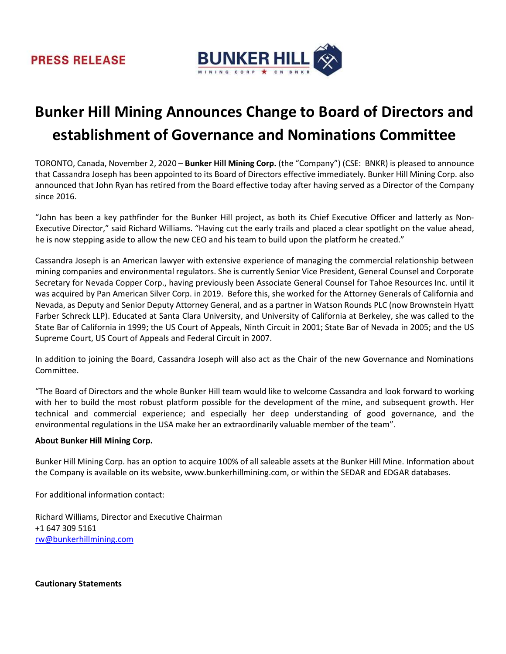### **PRESS RELEASE**



# Bunker Hill Mining Announces Change to Board of Directors and establishment of Governance and Nominations Committee

TORONTO, Canada, November 2, 2020 – Bunker Hill Mining Corp. (the "Company") (CSE: BNKR) is pleased to announce that Cassandra Joseph has been appointed to its Board of Directors effective immediately. Bunker Hill Mining Corp. also announced that John Ryan has retired from the Board effective today after having served as a Director of the Company since 2016.

"John has been a key pathfinder for the Bunker Hill project, as both its Chief Executive Officer and latterly as Non-Executive Director," said Richard Williams. "Having cut the early trails and placed a clear spotlight on the value ahead, he is now stepping aside to allow the new CEO and his team to build upon the platform he created."

Cassandra Joseph is an American lawyer with extensive experience of managing the commercial relationship between mining companies and environmental regulators. She is currently Senior Vice President, General Counsel and Corporate Secretary for Nevada Copper Corp., having previously been Associate General Counsel for Tahoe Resources Inc. until it was acquired by Pan American Silver Corp. in 2019. Before this, she worked for the Attorney Generals of California and Nevada, as Deputy and Senior Deputy Attorney General, and as a partner in Watson Rounds PLC (now Brownstein Hyatt Farber Schreck LLP). Educated at Santa Clara University, and University of California at Berkeley, she was called to the State Bar of California in 1999; the US Court of Appeals, Ninth Circuit in 2001; State Bar of Nevada in 2005; and the US Supreme Court, US Court of Appeals and Federal Circuit in 2007.

In addition to joining the Board, Cassandra Joseph will also act as the Chair of the new Governance and Nominations Committee.

"The Board of Directors and the whole Bunker Hill team would like to welcome Cassandra and look forward to working with her to build the most robust platform possible for the development of the mine, and subsequent growth. Her technical and commercial experience; and especially her deep understanding of good governance, and the environmental regulations in the USA make her an extraordinarily valuable member of the team".

#### About Bunker Hill Mining Corp.

Bunker Hill Mining Corp. has an option to acquire 100% of all saleable assets at the Bunker Hill Mine. Information about the Company is available on its website, www.bunkerhillmining.com, or within the SEDAR and EDGAR databases.

For additional information contact:

Richard Williams, Director and Executive Chairman +1 647 309 5161 rw@bunkerhillmining.com

Cautionary Statements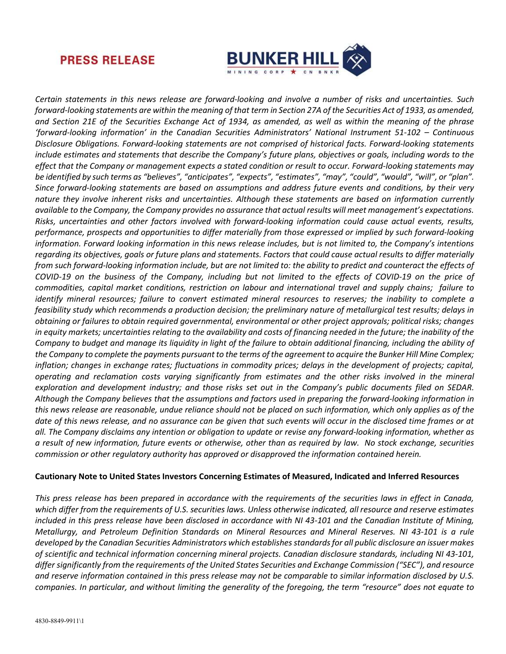

## **PRESS RELEASE**

Certain statements in this news release are forward-looking and involve a number of risks and uncertainties. Such forward-looking statements are within the meaning of that term in Section 27A of the Securities Act of 1933, as amended, and Section 21E of the Securities Exchange Act of 1934, as amended, as well as within the meaning of the phrase 'forward-looking information' in the Canadian Securities Administrators' National Instrument 51-102 – Continuous Disclosure Obligations. Forward-looking statements are not comprised of historical facts. Forward-looking statements include estimates and statements that describe the Company's future plans, objectives or goals, including words to the effect that the Company or management expects a stated condition or result to occur. Forward-looking statements may be identified by such terms as "believes", "anticipates", "expects", "estimates", "may", "could", "would", "will", or "plan". Since forward-looking statements are based on assumptions and address future events and conditions, by their very nature they involve inherent risks and uncertainties. Although these statements are based on information currently available to the Company, the Company provides no assurance that actual results will meet management's expectations. Risks, uncertainties and other factors involved with forward-looking information could cause actual events, results, performance, prospects and opportunities to differ materially from those expressed or implied by such forward-looking information. Forward looking information in this news release includes, but is not limited to, the Company's intentions regarding its objectives, goals or future plans and statements. Factors that could cause actual results to differ materially from such forward-looking information include, but are not limited to: the ability to predict and counteract the effects of COVID-19 on the business of the Company, including but not limited to the effects of COVID-19 on the price of commodities, capital market conditions, restriction on labour and international travel and supply chains; failure to identify mineral resources; failure to convert estimated mineral resources to reserves; the inability to complete a feasibility study which recommends a production decision; the preliminary nature of metallurgical test results; delays in obtaining or failures to obtain required governmental, environmental or other project approvals; political risks; changes in equity markets; uncertainties relating to the availability and costs of financing needed in the future; the inability of the Company to budget and manage its liquidity in light of the failure to obtain additional financing, including the ability of the Company to complete the payments pursuant to the terms of the agreement to acquire the Bunker Hill Mine Complex; inflation; changes in exchange rates; fluctuations in commodity prices; delays in the development of projects; capital, operating and reclamation costs varying significantly from estimates and the other risks involved in the mineral exploration and development industry; and those risks set out in the Company's public documents filed on SEDAR. Although the Company believes that the assumptions and factors used in preparing the forward-looking information in this news release are reasonable, undue reliance should not be placed on such information, which only applies as of the date of this news release, and no assurance can be given that such events will occur in the disclosed time frames or at all. The Company disclaims any intention or obligation to update or revise any forward-looking information, whether as a result of new information, future events or otherwise, other than as required by law. No stock exchange, securities commission or other regulatory authority has approved or disapproved the information contained herein.

#### Cautionary Note to United States Investors Concerning Estimates of Measured, Indicated and Inferred Resources

This press release has been prepared in accordance with the requirements of the securities laws in effect in Canada, which differ from the requirements of U.S. securities laws. Unless otherwise indicated, all resource and reserve estimates included in this press release have been disclosed in accordance with NI 43-101 and the Canadian Institute of Mining, Metallurgy, and Petroleum Definition Standards on Mineral Resources and Mineral Reserves. NI 43-101 is a rule developed by the Canadian Securities Administrators which establishes standards for all public disclosure an issuer makes of scientific and technical information concerning mineral projects. Canadian disclosure standards, including NI 43-101, differ significantly from the requirements of the United States Securities and Exchange Commission ("SEC"), and resource and reserve information contained in this press release may not be comparable to similar information disclosed by U.S. companies. In particular, and without limiting the generality of the foregoing, the term "resource" does not equate to